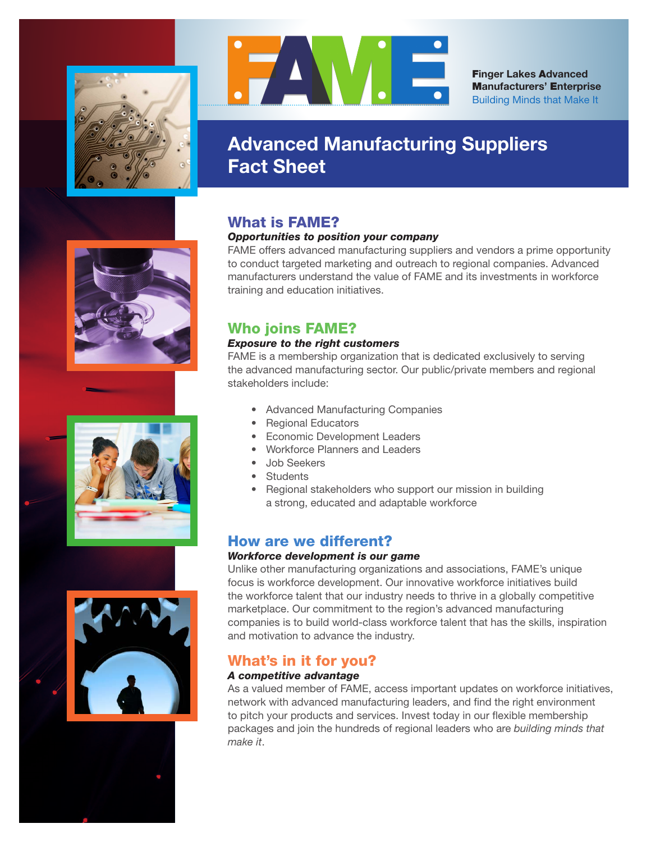



F**inger Lakes** A**dvanced** M**anufacturers'** E**nterprise** Building Minds that Make It

# **Advanced Manufacturing Suppliers Fact Sheet**

# What is FAME?

### *Opportunities to position your company*

FAME offers advanced manufacturing suppliers and vendors a prime opportunity to conduct targeted marketing and outreach to regional companies. Advanced manufacturers understand the value of FAME and its investments in workforce training and education initiatives.

# Who joins FAME?

### *Exposure to the right customers*

FAME is a membership organization that is dedicated exclusively to serving the advanced manufacturing sector. Our public/private members and regional stakeholders include:

- Advanced Manufacturing Companies
- Regional Educators
- Economic Development Leaders
- Workforce Planners and Leaders
- Job Seekers
- Students
- Regional stakeholders who support our mission in building a strong, educated and adaptable workforce

# How are we different?

## *Workforce development is our game*

Unlike other manufacturing organizations and associations, FAME's unique focus is workforce development. Our innovative workforce initiatives build the workforce talent that our industry needs to thrive in a globally competitive marketplace. Our commitment to the region's advanced manufacturing companies is to build world-class workforce talent that has the skills, inspiration and motivation to advance the industry.

# What's in it for you?

## *A competitive advantage*

As a valued member of FAME, access important updates on workforce initiatives, network with advanced manufacturing leaders, and find the right environment to pitch your products and services. Invest today in our flexible membership packages and join the hundreds of regional leaders who are *building minds that make it*.